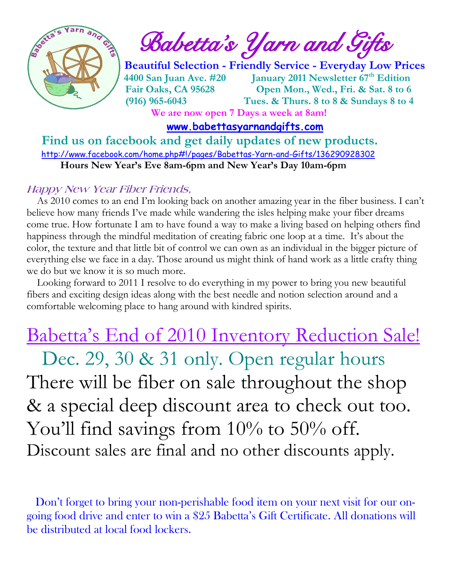

 $\int_{a}^{\frac{1}{2}} \mathbf{A} \mathbf{B}^{\frac{1}{2}}$  Babetta's Yarn and Gifts

 **Beautiful Selection - Friendly Service - Everyday Low Prices 4400 San Juan Ave. #20 January 2011 Newsletter 67th Edition Fair Oaks, CA 95628 Open Mon., Wed., Fri. & Sat. 8 to 6 (916) 965-6043 Tues. & Thurs. 8 to 8 & Sundays 8 to 4 We are now open 7 Days a week at 8am!** 

 **[www.babettasyarnandgifts.com](http://www.babettasyarnandgifts.com/)**

 **Find us on facebook and get daily updates of new products.**  <http://www.facebook.com/home.php#!/pages/Babettas-Yarn-and-Gifts/136290928302>  **Hours New Year's Eve 8am-6pm and New Year's Day 10am-6pm**

#### **Happy New Year Fiber Friends,**

 As 2010 comes to an end I'm looking back on another amazing year in the fiber business. I can't believe how many friends I've made while wandering the isles helping make your fiber dreams come true. How fortunate I am to have found a way to make a living based on helping others find happiness through the mindful meditation of creating fabric one loop at a time. It's about the color, the texture and that little bit of control we can own as an individual in the bigger picture of everything else we face in a day. Those around us might think of hand work as a little crafty thing we do but we know it is so much more.

 Looking forward to 2011 I resolve to do everything in my power to bring you new beautiful fibers and exciting design ideas along with the best needle and notion selection around and a comfortable welcoming place to hang around with kindred spirits.

# Babetta's End of 2010 Inventory Reduction Sale!

Dec. 29, 30 & 31 only. Open regular hours There will be fiber on sale throughout the shop & a special deep discount area to check out too. You'll find savings from 10% to 50% off. Discount sales are final and no other discounts apply.

 Don't forget to bring your non-perishable food item on your next visit for our ongoing food drive and enter to win a \$25 Babetta's Gift Certificate. All donations will be distributed at local food lockers.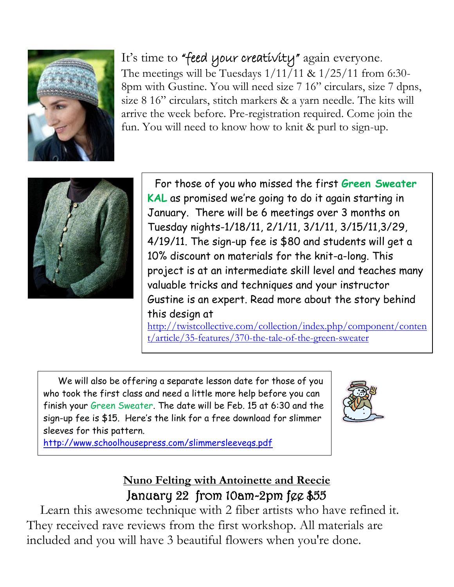

### It's time to "feed your creativity" again everyone.

The meetings will be Tuesdays  $1/11/11 \& 1/25/11$  from 6:30-8pm with Gustine. You will need size 7 16" circulars, size 7 dpns, size 8 16" circulars, stitch markers & a yarn needle. The kits will arrive the week before. Pre-registration required. Come join the fun. You will need to know how to knit & purl to sign-up.



 For those of you who missed the first **Green Sweater KAL** as promised we're going to do it again starting in January. There will be 6 meetings over 3 months on Tuesday nights-1/18/11, 2/1/11, 3/1/11, 3/15/11,3/29, 4/19/11. The sign-up fee is \$80 and students will get a 10% discount on materials for the knit-a-long. This project is at an intermediate skill level and teaches many valuable tricks and techniques and your instructor Gustine is an expert. Read more about the story behind this design at

[http://twistcollective.com/collection/index.php/component/conten](http://twistcollective.com/collection/index.php/component/content/article/35-features/370-the-tale-of-the-green-sweater) [t/article/35-features/370-the-tale-of-the-green-sweater](http://twistcollective.com/collection/index.php/component/content/article/35-features/370-the-tale-of-the-green-sweater)

 We will also be offering a separate lesson date for those of you who took the first class and need a little more help before you can finish your Green Sweater. The date will be Feb. 15 at 6:30 and the sign-up fee is \$15. Here's the link for a free download for slimmer sleeves for this pattern.



<http://www.schoolhousepress.com/slimmersleevegs.pdf>

#### **Nuno Felting with Antoinette and Reecie** January 22 from 10am-2pm fee \$55

 Learn this awesome technique with 2 fiber artists who have refined it. They received rave reviews from the first workshop. All materials are included and you will have 3 beautiful flowers when you're done.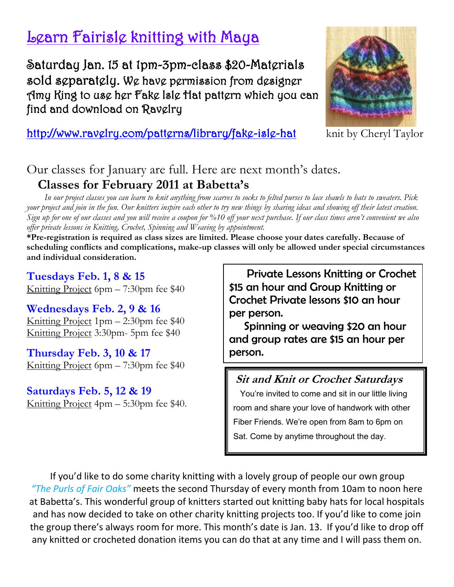## Learn Fairisle knitting with Maya

Saturday Jan. 15 at 1pm-3pm-class \$20-Materials sold separately. We have permission from designer Amy King to use her Fake Isle Hat pattern which you can find and download on Ravelry



#### http://www.ravglry.com/pattgrns/library/fakg-islg-hat knit by Cheryl Taylor

#### Our classes for January are full. Here are next month's dates. **Classes for February 2011 at Babetta's**

 *In our project classes you can learn to knit anything from scarves to socks to felted purses to lace shawls to hats to sweaters. Pick your project and join in the fun. Our knitters inspire each other to try new things by sharing ideas and showing off their latest creation. Sign up for one of our classes and you will receive a coupon for %10 off your next purchase. If our class times aren't convenient we also offer private lessons in Knitting, Crochet, Spinning and Weaving by appointment.*

**\*Pre-registration is required as class sizes are limited. Please choose your dates carefully. Because of scheduling conflicts and complications, make-up classes will only be allowed under special circumstances and individual consideration.**

**Tuesdays Feb. 1, 8 & 15** Knitting Project 6pm – 7:30pm fee \$40

**Wednesdays Feb. 2, 9 & 16** Knitting Project 1pm – 2:30pm fee \$40 Knitting Project 3:30pm- 5pm fee \$40

**Thursday Feb. 3, 10 & 17** Knitting Project 6pm – 7:30pm fee \$40

**Saturdays Feb. 5, 12 & 19** Knitting Project 4pm – 5:30pm fee \$40.

 Private Lessons Knitting or Crochet \$15 an hour and Group Knitting or Crochet Private lessons \$10 an hour per person.

 Spinning or weaving \$20 an hour and group rates are \$15 an hour per person.

#### **Sit and Knit or Crochet Saturdays**

 You're invited to come and sit in our little living room and share your love of handwork with other Fiber Friends. We're open from 8am to 6pm on Sat. Come by anytime throughout the day.

If you'd like to do some charity knitting with a lovely group of people our own group *"The Purls of Fair Oaks"* meets the second Thursday of every month from 10am to noon here at Babetta's. This wonderful group of knitters started out knitting baby hats for local hospitals and has now decided to take on other charity knitting projects too. If you'd like to come join the group there's always room for more. This month's date is Jan. 13. If you'd like to drop off any knitted or crocheted donation items you can do that at any time and I will pass them on.